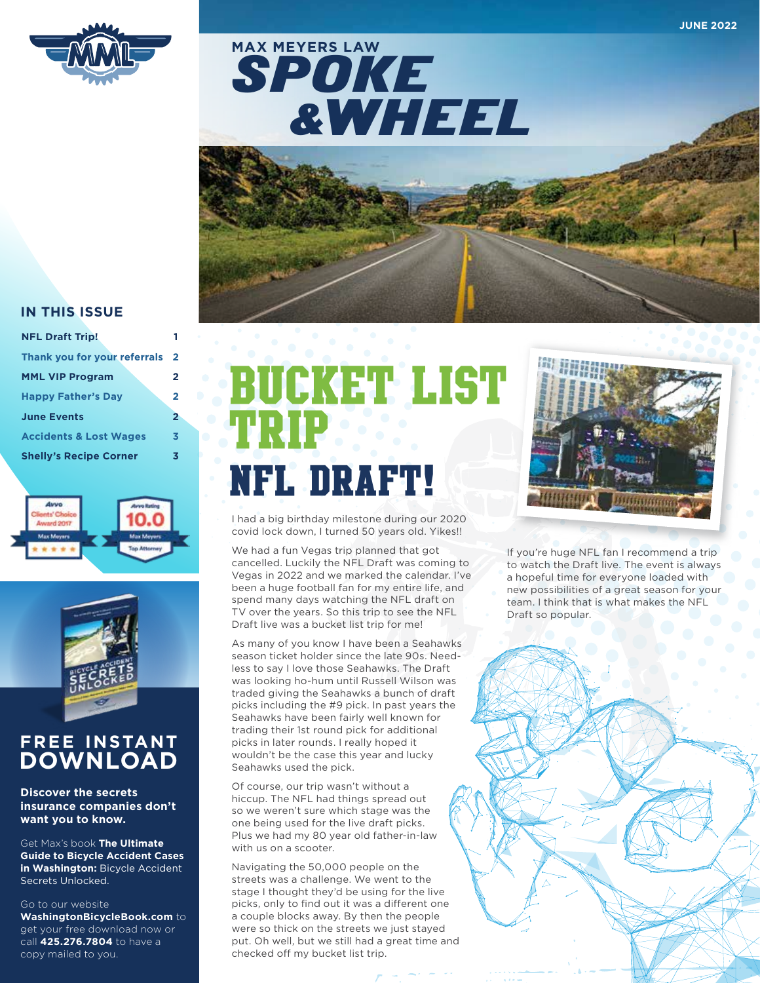

SPOKE &WHEEL **MAX MEYERS LAW**



#### **IN THIS ISSUE**

| <b>NFL Draft Trip!</b>            |                |
|-----------------------------------|----------------|
| Thank you for your referrals      | $\overline{2}$ |
| <b>MML VIP Program</b>            | 2              |
| <b>Happy Father's Day</b>         | 2              |
| <b>June Events</b>                | 2              |
| <b>Accidents &amp; Lost Wages</b> | 3              |
| <b>Shelly's Recipe Corner</b>     | 3              |





### **FREE INSTANT DOWNLOAD**

**Discover the secrets insurance companies don't want you to know.** 

Get Max's book **The Ultimate Guide to Bicycle Accident Cases in Washington:** Bicycle Accident Secrets Unlocked.

Go to our website

**WashingtonBicycleBook.com** to get your free download now or call **425.276.7804** to have a copy mailed to you.

# Bucket List Trip NFL Draft!

I had a big birthday milestone during our 2020 covid lock down, I turned 50 years old. Yikes!!

We had a fun Vegas trip planned that got cancelled. Luckily the NFL Draft was coming to Vegas in 2022 and we marked the calendar. I've been a huge football fan for my entire life, and spend many days watching the NFL draft on TV over the years. So this trip to see the NFL Draft live was a bucket list trip for me!

As many of you know I have been a Seahawks season ticket holder since the late 90s. Needless to say I love those Seahawks. The Draft was looking ho-hum until Russell Wilson was traded giving the Seahawks a bunch of draft picks including the #9 pick. In past years the Seahawks have been fairly well known for trading their 1st round pick for additional picks in later rounds. I really hoped it wouldn't be the case this year and lucky Seahawks used the pick.

Of course, our trip wasn't without a hiccup. The NFL had things spread out so we weren't sure which stage was the one being used for the live draft picks. Plus we had my 80 year old father-in-law with us on a scooter.

Navigating the 50,000 people on the streets was a challenge. We went to the stage I thought they'd be using for the live picks, only to find out it was a different one a couple blocks away. By then the people were so thick on the streets we just stayed put. Oh well, but we still had a great time and checked off my bucket list trip.



If you're huge NFL fan I recommend a trip to watch the Draft live. The event is always a hopeful time for everyone loaded with new possibilities of a great season for your team. I think that is what makes the NFL Draft so popular.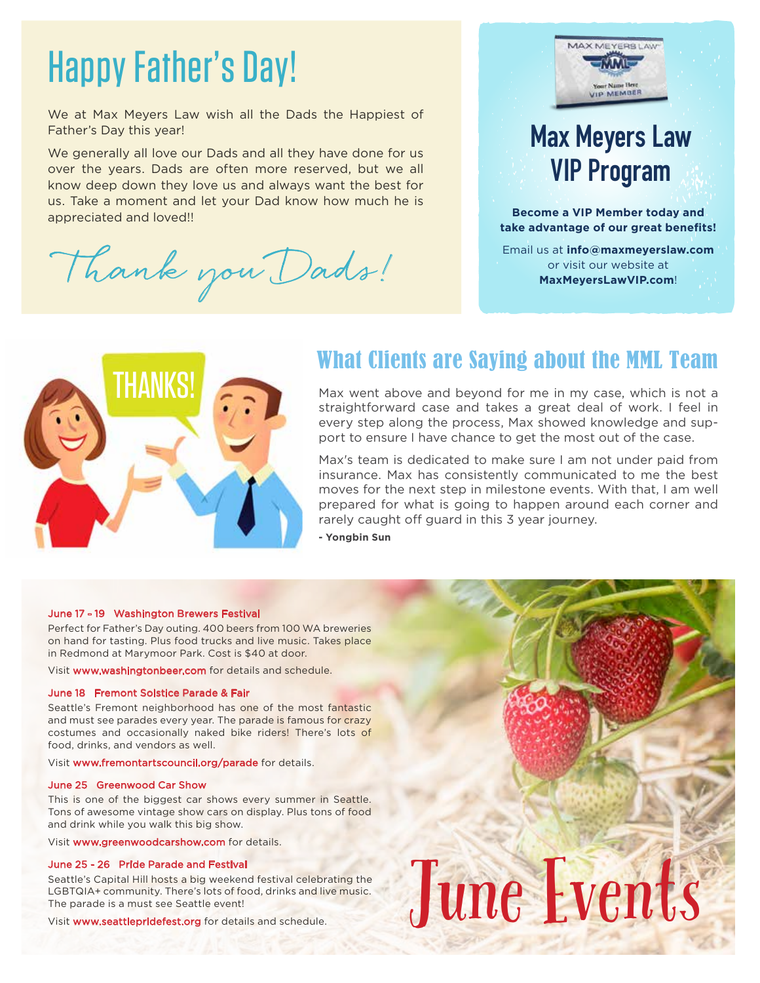## Happy Father's Day!

We at Max Meyers Law wish all the Dads the Happiest of Father's Day this year!

We generally all love our Dads and all they have done for us over the years. Dads are often more reserved, but we all know deep down they love us and always want the best for us. Take a moment and let your Dad know how much he is appreciated and loved!!

ank you Dads!



**Become a VIP Member today and take advantage of our great benefits!** 

Email us at **info@maxmeyerslaw.com** or visit our website at **MaxMeyersLawVIP.com**!



### What Clients are Saying about the MML Team

Max went above and beyond for me in my case, which is not a straightforward case and takes a great deal of work. I feel in every step along the process, Max showed knowledge and support to ensure I have chance to get the most out of the case.

rarely caught off guard in this 3 year journey. Max's team is dedicated to make sure I am not under paid from insurance. Max has consistently communicated to me the best moves for the next step in milestone events. With that, I am well prepared for what is going to happen around each corner and

**- Yongbin Sun**

#### June 17 - 19 Washington Brewers Festival

Perfect for Father's Day outing. 400 beers from 100 WA breweries on hand for tasting. Plus food trucks and live music. Takes place in Redmond at Marymoor Park. Cost is \$40 at door.

Visit www.washingtonbeer.com for details and schedule.

#### June 18 Fremont Solstice Parade & Fair

Seattle's Fremont neighborhood has one of the most fantastic and must see parades every year. The parade is famous for crazy costumes and occasionally naked bike riders! There's lots of food, drinks, and vendors as well.

Visit www.fremontartscouncil.org/parade for details.

#### June 25 Greenwood Car Show

This is one of the biggest car shows every summer in Seattle. Tons of awesome vintage show cars on display. Plus tons of food and drink while you walk this big show.

Visit www.greenwoodcarshow.com for details.

#### June 25 - 26 Pride Parade and Festival

Seattle's Capital Hill hosts a big weekend festival celebrating the LGBTQIA+ community. There's lots of food, drinks and live music. The parade is a must see Seattle event! Visit www.seattlepridefest.org for details and schedule.<br>Visit www.seattlepridefest.org for details and schedule.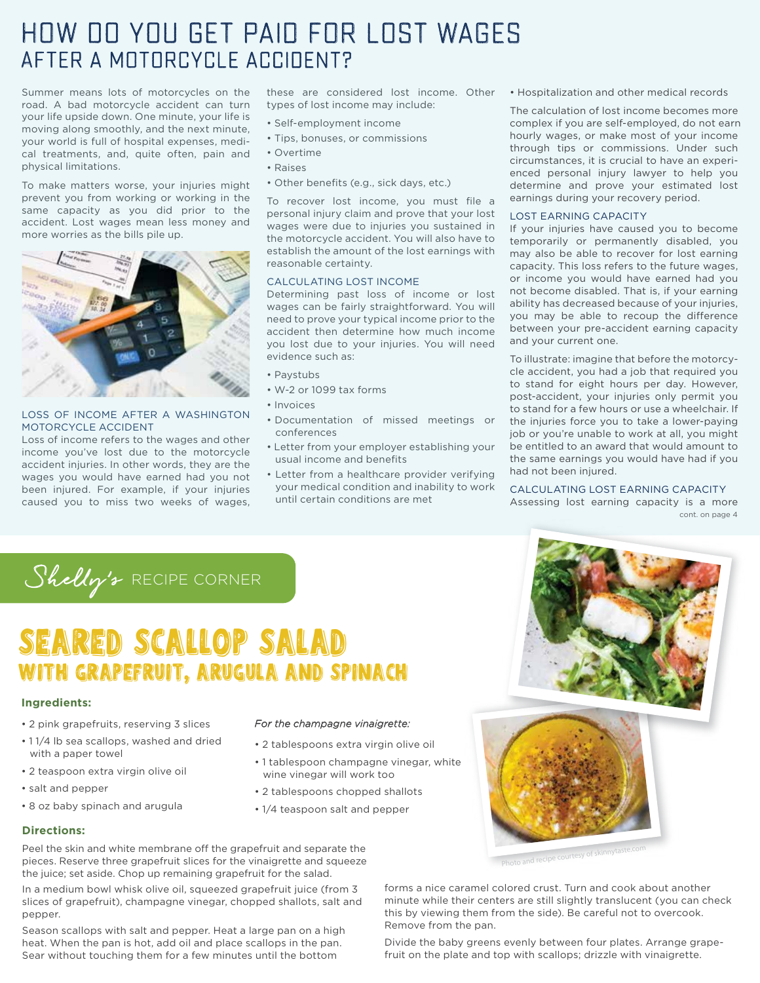## How do you get paid for lost wages after a motorcycle accident?

Summer means lots of motorcycles on the road. A bad motorcycle accident can turn your life upside down. One minute, your life is moving along smoothly, and the next minute, your world is full of hospital expenses, medical treatments, and, quite often, pain and physical limitations.

To make matters worse, your injuries might prevent you from working or working in the same capacity as you did prior to the accident. Lost wages mean less money and more worries as the bills pile up.



#### LOSS OF INCOME AFTER A WASHINGTON MOTORCYCLE ACCIDENT

Loss of income refers to the wages and other income you've lost due to the motorcycle accident injuries. In other words, they are the wages you would have earned had you not been injured. For example, if your injuries caused you to miss two weeks of wages, these are considered lost income. Other types of lost income may include:

- Self-employment income
- Tips, bonuses, or commissions
- Overtime
- Raises
- Other benefits (e.g., sick days, etc.)

To recover lost income, you must file a personal injury claim and prove that your lost wages were due to injuries you sustained in the motorcycle accident. You will also have to establish the amount of the lost earnings with reasonable certainty.

#### CALCULATING LOST INCOME

Determining past loss of income or lost wages can be fairly straightforward. You will need to prove your typical income prior to the accident then determine how much income you lost due to your injuries. You will need evidence such as:

- Paystubs
- W-2 or 1099 tax forms
- Invoices
- Documentation of missed meetings or conferences
- Letter from your employer establishing your usual income and benefits
- Letter from a healthcare provider verifying your medical condition and inability to work until certain conditions are met

• Hospitalization and other medical records

The calculation of lost income becomes more complex if you are self-employed, do not earn hourly wages, or make most of your income through tips or commissions. Under such circumstances, it is crucial to have an experienced personal injury lawyer to help you determine and prove your estimated lost earnings during your recovery period.

#### LOST EARNING CAPACITY

If your injuries have caused you to become temporarily or permanently disabled, you may also be able to recover for lost earning capacity. This loss refers to the future wages, or income you would have earned had you not become disabled. That is, if your earning ability has decreased because of your injuries, you may be able to recoup the difference between your pre-accident earning capacity and your current one.

To illustrate: imagine that before the motorcycle accident, you had a job that required you to stand for eight hours per day. However, post-accident, your injuries only permit you to stand for a few hours or use a wheelchair. If the injuries force you to take a lower-paying job or you're unable to work at all, you might be entitled to an award that would amount to the same earnings you would have had if you had not been injured.

CALCULATING LOST EARNING CAPACITY Assessing lost earning capacity is a more cont. on page 4



## SEARED SCALLOP SALAD WITH GRAPEFRUIT, ARUGULA AND SPINACH

#### **Ingredients:**

- 2 pink grapefruits, reserving 3 slices
- 1 1/4 lb sea scallops, washed and dried with a paper towel
- 2 teaspoon extra virgin olive oil
- salt and pepper
- 8 oz baby spinach and arugula

#### **Directions:**

Peel the skin and white membrane off the grapefruit and separate the pieces. Reserve three grapefruit slices for the vinaigrette and squeeze the juice; set aside. Chop up remaining grapefruit for the salad.

In a medium bowl whisk olive oil, squeezed grapefruit juice (from 3 slices of grapefruit), champagne vinegar, chopped shallots, salt and pepper.

Season scallops with salt and pepper. Heat a large pan on a high heat. When the pan is hot, add oil and place scallops in the pan. Sear without touching them for a few minutes until the bottom

#### *For the champagne vinaigrette:*

- 2 tablespoons extra virgin olive oil
- 1 tablespoon champagne vinegar, white wine vinegar will work too
- 2 tablespoons chopped shallots
- 1/4 teaspoon salt and pepper



forms a nice caramel colored crust. Turn and cook about another minute while their centers are still slightly translucent (you can check this by viewing them from the side). Be careful not to overcook. Remove from the pan.

Divide the baby greens evenly between four plates. Arrange grapefruit on the plate and top with scallops; drizzle with vinaigrette.